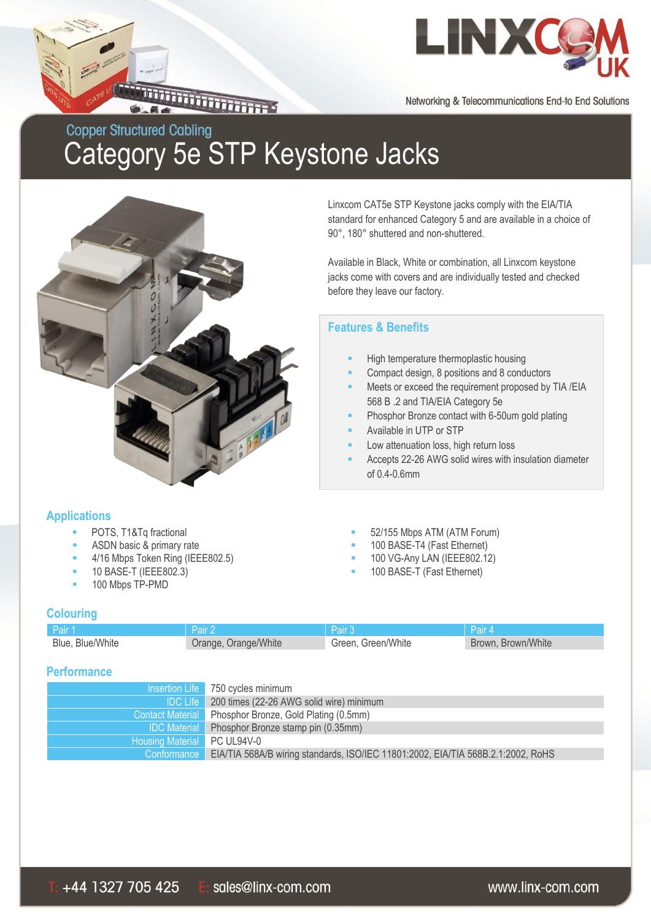

Networking & Telecommunications End-to End Solutions

## **Copper Structured Cabling** Category 5e STP Keystone Jacks



Linxcom CAT5e STP Keystone jacks comply with the EIA/TIA standard for enhanced Category 5 and are available in a choice of 90°, 180° shuttered and non-shuttered.

Available in Black, White or combination, all Linxcom keystone jacks come with covers and are individually tested and checked before they leave our factory.

#### **Features & Benefits**

- High temperature thermoplastic housing
- Compact design, 8 positions and 8 conductors
- Meets or exceed the requirement proposed by TIA /EIA 568 B .2 and TIA/EIA Category 5e
- Phosphor Bronze contact with 6-50um gold plating
- Available in UTP or STP
- Low attenuation loss, high return loss
- Accepts 22-26 AWG solid wires with insulation diameter of 0.4-0.6mm

#### **Applications**

- POTS, T1&Tq fractional **EXECUTE:** 52/155 Mbps ATM (ATM Forum)
- ASDN basic & primary rate **100 BASE-T4** (Fast Ethernet)
- 4/16 Mbps Token Ring (IEEE802.5) 100 VG-Any LAN (IEEE802.12)
- 10 BASE-T (IEEE802.3) 100 BASE-T (Fast Ethernet)
- 100 Mbps TP-PMD

#### **Colouring**

| ⊟Pair 1          | Pair:                | Pair 3             | <b>NPair 4</b>     |
|------------------|----------------------|--------------------|--------------------|
| Blue, Blue/White | Orange, Orange/White | Green, Green/White | Brown, Brown/White |

#### **Performance**

|                             | Insertion Life 750 cycles minimum                                                |
|-----------------------------|----------------------------------------------------------------------------------|
| <b>IDC Life</b>             | 200 times (22-26 AWG solid wire) minimum                                         |
|                             | Contact Material Phosphor Bronze, Gold Plating (0.5mm)                           |
|                             | IDC Material Phosphor Bronze stamp pin (0.35mm)                                  |
| Housing Material PC UL94V-0 |                                                                                  |
| Conformance                 | EIA/TIA 568A/B wiring standards, ISO/IEC 11801:2002, EIA/TIA 568B.2.1:2002, RoHS |